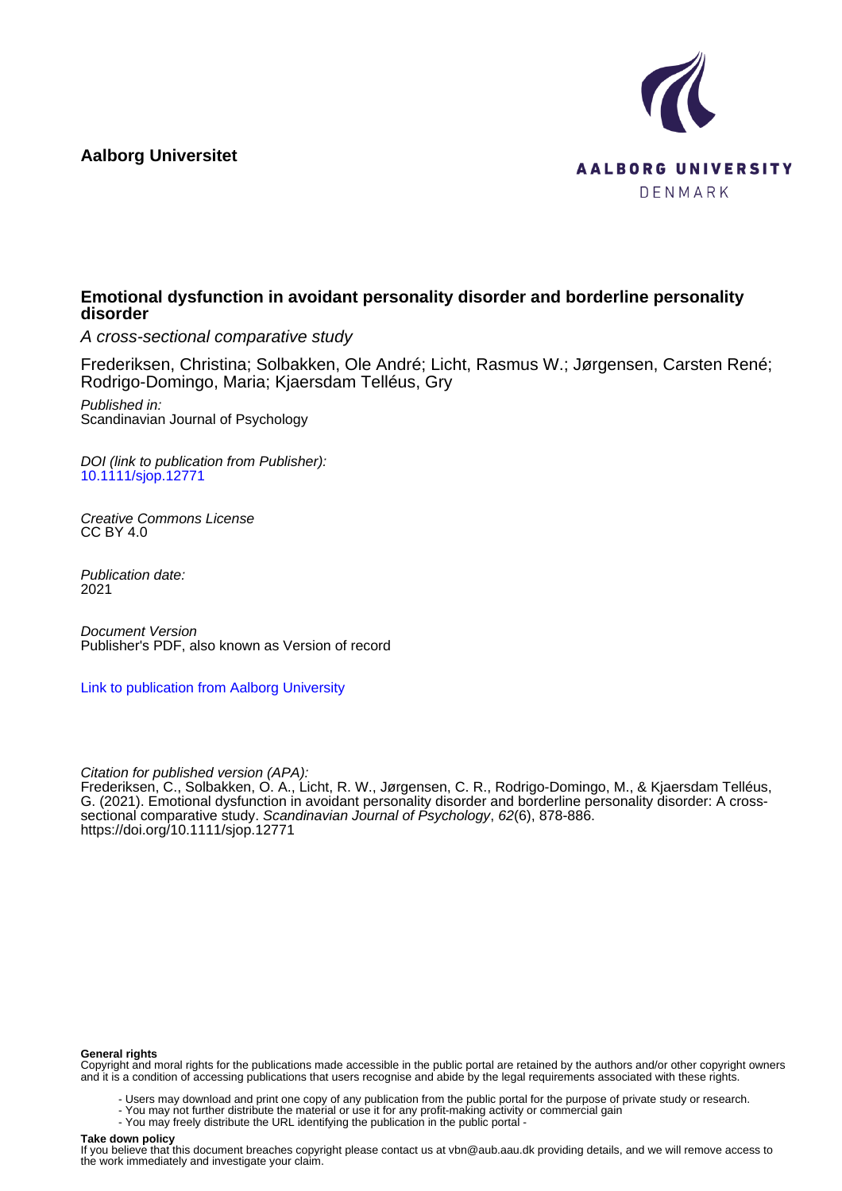## **Aalborg Universitet**



## **Emotional dysfunction in avoidant personality disorder and borderline personality disorder**

A cross-sectional comparative study

Frederiksen, Christina; Solbakken, Ole André; Licht, Rasmus W.; Jørgensen, Carsten René; Rodrigo-Domingo, Maria; Kjaersdam Telléus, Gry

Published in: Scandinavian Journal of Psychology

DOI (link to publication from Publisher): [10.1111/sjop.12771](https://doi.org/10.1111/sjop.12771)

Creative Commons License CC BY 4.0

Publication date: 2021

Document Version Publisher's PDF, also known as Version of record

[Link to publication from Aalborg University](https://vbn.aau.dk/en/publications/c00f8ad5-5d4d-4043-b240-64ab485b7c66)

Citation for published version (APA):

Frederiksen, C., Solbakken, O. A., Licht, R. W., Jørgensen, C. R., Rodrigo-Domingo, M., & Kjaersdam Telléus, G. (2021). Emotional dysfunction in avoidant personality disorder and borderline personality disorder: A crosssectional comparative study. Scandinavian Journal of Psychology, 62(6), 878-886. <https://doi.org/10.1111/sjop.12771>

#### **General rights**

Copyright and moral rights for the publications made accessible in the public portal are retained by the authors and/or other copyright owners and it is a condition of accessing publications that users recognise and abide by the legal requirements associated with these rights.

- Users may download and print one copy of any publication from the public portal for the purpose of private study or research.
- You may not further distribute the material or use it for any profit-making activity or commercial gain
- You may freely distribute the URL identifying the publication in the public portal -

## **Take down policy**

If you believe that this document breaches copyright please contact us at vbn@aub.aau.dk providing details, and we will remove access to the work immediately and investigate your claim.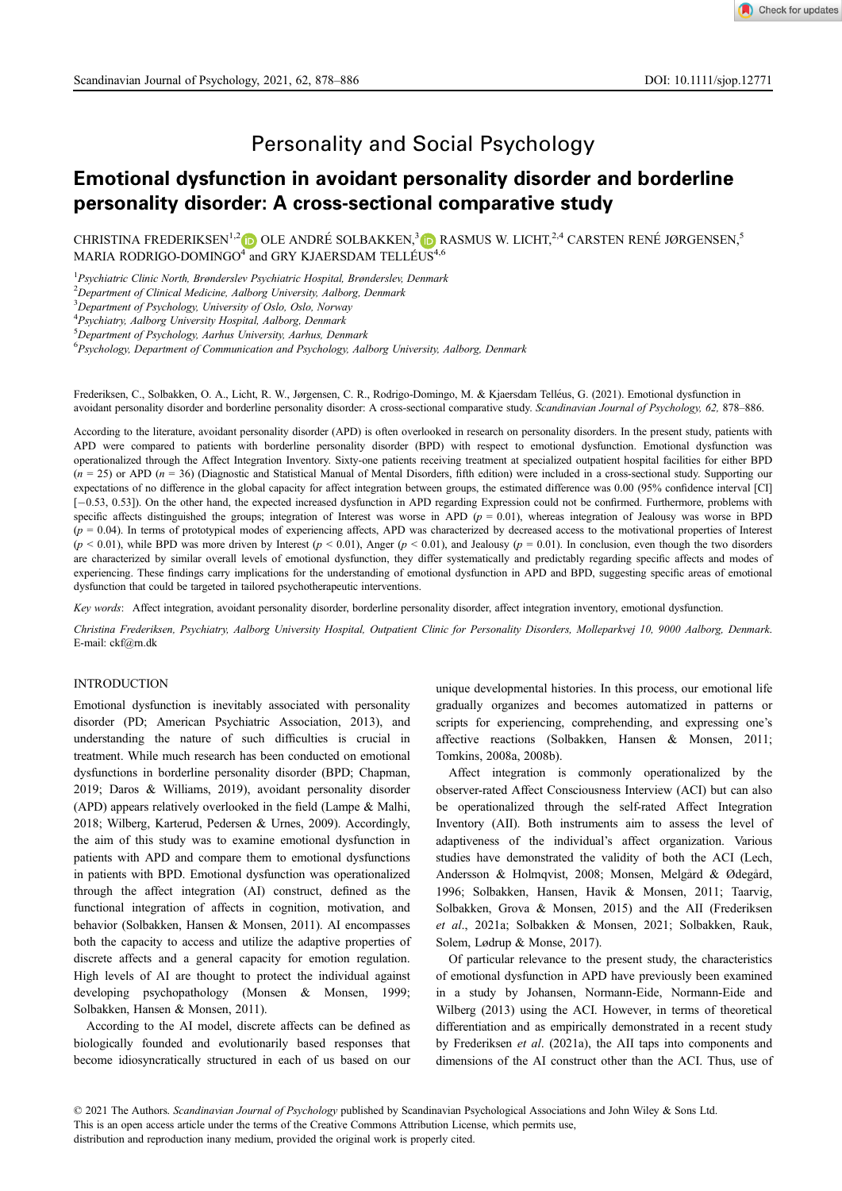# Personality and Social Psychology

# Emotional dysfunction in avoidant personality disorder and borderline personality disorder: A cross-sectional comparative study

CHRISTINA FREDERIKSEN<sup>1,[2](https://orcid.org/0000-0002-8019-1200)</sup> DOLE ANDRÉ SOLBAKKEN,<sup>3</sup> DRASMUS W. LICHT,<sup>2,4</sup> CARSTEN RENÉ JØRGENSEN,<sup>5</sup> MARIA RODRIGO-DOMINGO<sup>4</sup> and GRY KJAERSDAM TELLÉUS<sup>4,6</sup>

<sup>1</sup> Psychiatric Clinic North, Brønderslev Psychiatric Hospital, Brønderslev, Denmark

<sup>2</sup>Department of Clinical Medicine, Aalborg University, Aalborg, Denmark

<sup>3</sup>Department of Psychology, University of Oslo, Oslo, Norway

4 Psychiatry, Aalborg University Hospital, Aalborg, Denmark

5 Department of Psychology, Aarhus University, Aarhus, Denmark

6 Psychology, Department of Communication and Psychology, Aalborg University, Aalborg, Denmark

Frederiksen, C., Solbakken, O. A., Licht, R. W., Jørgensen, C. R., Rodrigo-Domingo, M. & Kjaersdam Telleus, G. (2021). Emotional dysfunction in avoidant personality disorder and borderline personality disorder: A cross-sectional comparative study. Scandinavian Journal of Psychology, 62, 878-886.

According to the literature, avoidant personality disorder (APD) is often overlooked in research on personality disorders. In the present study, patients with APD were compared to patients with borderline personality disorder (BPD) with respect to emotional dysfunction. Emotional dysfunction was operationalized through the Affect Integration Inventory. Sixty-one patients receiving treatment at specialized outpatient hospital facilities for either BPD  $(n = 25)$  or APD  $(n = 36)$  (Diagnostic and Statistical Manual of Mental Disorders, fifth edition) were included in a cross-sectional study. Supporting our expectations of no difference in the global capacity for affect integration between groups, the estimated difference was 0.00 (95% confidence interval [CI] [-0.53, 0.53]). On the other hand, the expected increased dysfunction in APD regarding Expression could not be confirmed. Furthermore, problems with specific affects distinguished the groups; integration of Interest was worse in APD ( $p = 0.01$ ), whereas integration of Jealousy was worse in BPD  $(p = 0.04)$ . In terms of prototypical modes of experiencing affects, APD was characterized by decreased access to the motivational properties of Interest  $(p < 0.01)$ , while BPD was more driven by Interest  $(p < 0.01)$ , Anger  $(p < 0.01)$ , and Jealousy  $(p = 0.01)$ . In conclusion, even though the two disorders are characterized by similar overall levels of emotional dysfunction, they differ systematically and predictably regarding specific affects and modes of experiencing. These findings carry implications for the understanding of emotional dysfunction in APD and BPD, suggesting specific areas of emotional dysfunction that could be targeted in tailored psychotherapeutic interventions.

Key words: Affect integration, avoidant personality disorder, borderline personality disorder, affect integration inventory, emotional dysfunction.

Christina Frederiksen, Psychiatry, Aalborg University Hospital, Outpatient Clinic for Personality Disorders, Molleparkvej 10, 9000 Aalborg, Denmark. E-mail: [ckf@rn.dk](mailto:ckf@rn.dk)

## INTRODUCTION

Emotional dysfunction is inevitably associated with personality disorder (PD; American Psychiatric Association, 2013), and understanding the nature of such difficulties is crucial in treatment. While much research has been conducted on emotional dysfunctions in borderline personality disorder (BPD; Chapman, 2019; Daros & Williams, 2019), avoidant personality disorder (APD) appears relatively overlooked in the field (Lampe & Malhi, 2018; Wilberg, Karterud, Pedersen & Urnes, 2009). Accordingly, the aim of this study was to examine emotional dysfunction in patients with APD and compare them to emotional dysfunctions in patients with BPD. Emotional dysfunction was operationalized through the affect integration (AI) construct, defined as the functional integration of affects in cognition, motivation, and behavior (Solbakken, Hansen & Monsen, 2011). AI encompasses both the capacity to access and utilize the adaptive properties of discrete affects and a general capacity for emotion regulation. High levels of AI are thought to protect the individual against developing psychopathology (Monsen & Monsen, 1999; Solbakken, Hansen & Monsen, 2011).

According to the AI model, discrete affects can be defined as biologically founded and evolutionarily based responses that become idiosyncratically structured in each of us based on our unique developmental histories. In this process, our emotional life gradually organizes and becomes automatized in patterns or scripts for experiencing, comprehending, and expressing one's affective reactions (Solbakken, Hansen & Monsen, 2011; Tomkins, 2008a, 2008b).

Affect integration is commonly operationalized by the observer-rated Affect Consciousness Interview (ACI) but can also be operationalized through the self-rated Affect Integration Inventory (AII). Both instruments aim to assess the level of adaptiveness of the individual's affect organization. Various studies have demonstrated the validity of both the ACI (Lech, Andersson & Holmqvist, 2008; Monsen, Melgård & Ødegård, 1996; Solbakken, Hansen, Havik & Monsen, 2011; Taarvig, Solbakken, Grova & Monsen, 2015) and the AII (Frederiksen et al., 2021a; Solbakken & Monsen, 2021; Solbakken, Rauk, Solem, Lødrup & Monse, 2017).

Of particular relevance to the present study, the characteristics of emotional dysfunction in APD have previously been examined in a study by Johansen, Normann-Eide, Normann-Eide and Wilberg (2013) using the ACI. However, in terms of theoretical differentiation and as empirically demonstrated in a recent study by Frederiksen et al. (2021a), the AII taps into components and dimensions of the AI construct other than the ACI. Thus, use of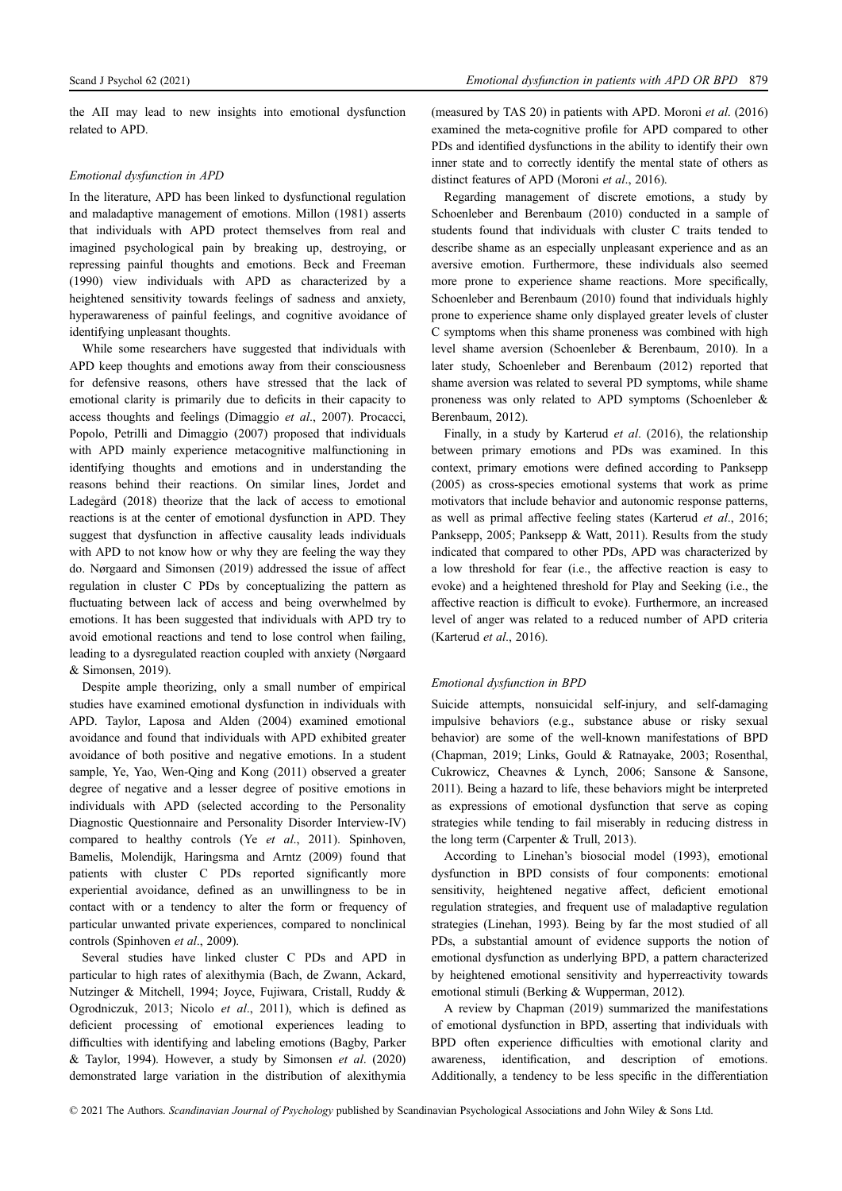the AII may lead to new insights into emotional dysfunction related to APD.

## Emotional dysfunction in APD

In the literature, APD has been linked to dysfunctional regulation and maladaptive management of emotions. Millon (1981) asserts that individuals with APD protect themselves from real and imagined psychological pain by breaking up, destroying, or repressing painful thoughts and emotions. Beck and Freeman (1990) view individuals with APD as characterized by a heightened sensitivity towards feelings of sadness and anxiety, hyperawareness of painful feelings, and cognitive avoidance of identifying unpleasant thoughts.

While some researchers have suggested that individuals with APD keep thoughts and emotions away from their consciousness for defensive reasons, others have stressed that the lack of emotional clarity is primarily due to deficits in their capacity to access thoughts and feelings (Dimaggio et al., 2007). Procacci, Popolo, Petrilli and Dimaggio (2007) proposed that individuals with APD mainly experience metacognitive malfunctioning in identifying thoughts and emotions and in understanding the reasons behind their reactions. On similar lines, Jordet and Ladegard (2018) theorize that the lack of access to emotional reactions is at the center of emotional dysfunction in APD. They suggest that dysfunction in affective causality leads individuals with APD to not know how or why they are feeling the way they do. Nørgaard and Simonsen (2019) addressed the issue of affect regulation in cluster C PDs by conceptualizing the pattern as fluctuating between lack of access and being overwhelmed by emotions. It has been suggested that individuals with APD try to avoid emotional reactions and tend to lose control when failing, leading to a dysregulated reaction coupled with anxiety (Nørgaard & Simonsen, 2019).

Despite ample theorizing, only a small number of empirical studies have examined emotional dysfunction in individuals with APD. Taylor, Laposa and Alden (2004) examined emotional avoidance and found that individuals with APD exhibited greater avoidance of both positive and negative emotions. In a student sample, Ye, Yao, Wen-Qing and Kong (2011) observed a greater degree of negative and a lesser degree of positive emotions in individuals with APD (selected according to the Personality Diagnostic Questionnaire and Personality Disorder Interview-IV) compared to healthy controls (Ye et al., 2011). Spinhoven, Bamelis, Molendijk, Haringsma and Arntz (2009) found that patients with cluster C PDs reported significantly more experiential avoidance, defined as an unwillingness to be in contact with or a tendency to alter the form or frequency of particular unwanted private experiences, compared to nonclinical controls (Spinhoven et al., 2009).

Several studies have linked cluster C PDs and APD in particular to high rates of alexithymia (Bach, de Zwann, Ackard, Nutzinger & Mitchell, 1994; Joyce, Fujiwara, Cristall, Ruddy & Ogrodniczuk, 2013; Nicolo et al., 2011), which is defined as deficient processing of emotional experiences leading to difficulties with identifying and labeling emotions (Bagby, Parker & Taylor, 1994). However, a study by Simonsen et al. (2020) demonstrated large variation in the distribution of alexithymia (measured by TAS 20) in patients with APD. Moroni et al. (2016) examined the meta-cognitive profile for APD compared to other PDs and identified dysfunctions in the ability to identify their own inner state and to correctly identify the mental state of others as distinct features of APD (Moroni et al., 2016).

Regarding management of discrete emotions, a study by Schoenleber and Berenbaum (2010) conducted in a sample of students found that individuals with cluster C traits tended to describe shame as an especially unpleasant experience and as an aversive emotion. Furthermore, these individuals also seemed more prone to experience shame reactions. More specifically, Schoenleber and Berenbaum (2010) found that individuals highly prone to experience shame only displayed greater levels of cluster C symptoms when this shame proneness was combined with high level shame aversion (Schoenleber & Berenbaum, 2010). In a later study, Schoenleber and Berenbaum (2012) reported that shame aversion was related to several PD symptoms, while shame proneness was only related to APD symptoms (Schoenleber & Berenbaum, 2012).

Finally, in a study by Karterud et al. (2016), the relationship between primary emotions and PDs was examined. In this context, primary emotions were defined according to Panksepp (2005) as cross-species emotional systems that work as prime motivators that include behavior and autonomic response patterns, as well as primal affective feeling states (Karterud et al., 2016; Panksepp, 2005; Panksepp & Watt, 2011). Results from the study indicated that compared to other PDs, APD was characterized by a low threshold for fear (i.e., the affective reaction is easy to evoke) and a heightened threshold for Play and Seeking (i.e., the affective reaction is difficult to evoke). Furthermore, an increased level of anger was related to a reduced number of APD criteria (Karterud et al., 2016).

#### Emotional dysfunction in BPD

Suicide attempts, nonsuicidal self-injury, and self-damaging impulsive behaviors (e.g., substance abuse or risky sexual behavior) are some of the well-known manifestations of BPD (Chapman, 2019; Links, Gould & Ratnayake, 2003; Rosenthal, Cukrowicz, Cheavnes & Lynch, 2006; Sansone & Sansone, 2011). Being a hazard to life, these behaviors might be interpreted as expressions of emotional dysfunction that serve as coping strategies while tending to fail miserably in reducing distress in the long term (Carpenter & Trull, 2013).

According to Linehan's biosocial model (1993), emotional dysfunction in BPD consists of four components: emotional sensitivity, heightened negative affect, deficient emotional regulation strategies, and frequent use of maladaptive regulation strategies (Linehan, 1993). Being by far the most studied of all PDs, a substantial amount of evidence supports the notion of emotional dysfunction as underlying BPD, a pattern characterized by heightened emotional sensitivity and hyperreactivity towards emotional stimuli (Berking & Wupperman, 2012).

A review by Chapman (2019) summarized the manifestations of emotional dysfunction in BPD, asserting that individuals with BPD often experience difficulties with emotional clarity and awareness, identification, and description of emotions. Additionally, a tendency to be less specific in the differentiation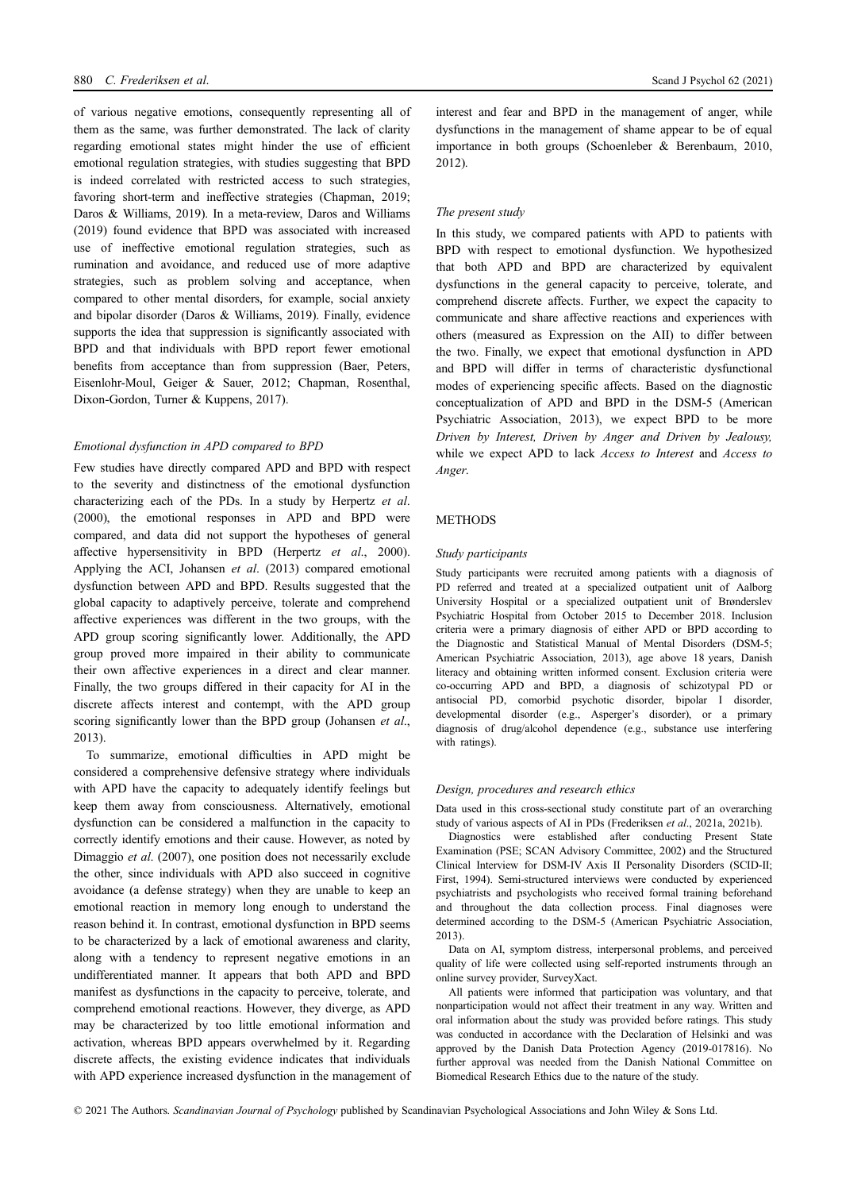of various negative emotions, consequently representing all of them as the same, was further demonstrated. The lack of clarity regarding emotional states might hinder the use of efficient emotional regulation strategies, with studies suggesting that BPD is indeed correlated with restricted access to such strategies, favoring short-term and ineffective strategies (Chapman, 2019; Daros & Williams, 2019). In a meta-review, Daros and Williams (2019) found evidence that BPD was associated with increased use of ineffective emotional regulation strategies, such as rumination and avoidance, and reduced use of more adaptive strategies, such as problem solving and acceptance, when compared to other mental disorders, for example, social anxiety and bipolar disorder (Daros & Williams, 2019). Finally, evidence supports the idea that suppression is significantly associated with BPD and that individuals with BPD report fewer emotional benefits from acceptance than from suppression (Baer, Peters, Eisenlohr-Moul, Geiger & Sauer, 2012; Chapman, Rosenthal, Dixon-Gordon, Turner & Kuppens, 2017).

## Emotional dysfunction in APD compared to BPD

Few studies have directly compared APD and BPD with respect to the severity and distinctness of the emotional dysfunction characterizing each of the PDs. In a study by Herpertz et al. (2000), the emotional responses in APD and BPD were compared, and data did not support the hypotheses of general affective hypersensitivity in BPD (Herpertz et al., 2000). Applying the ACI, Johansen et al. (2013) compared emotional dysfunction between APD and BPD. Results suggested that the global capacity to adaptively perceive, tolerate and comprehend affective experiences was different in the two groups, with the APD group scoring significantly lower. Additionally, the APD group proved more impaired in their ability to communicate their own affective experiences in a direct and clear manner. Finally, the two groups differed in their capacity for AI in the discrete affects interest and contempt, with the APD group scoring significantly lower than the BPD group (Johansen et al., 2013).

To summarize, emotional difficulties in APD might be considered a comprehensive defensive strategy where individuals with APD have the capacity to adequately identify feelings but keep them away from consciousness. Alternatively, emotional dysfunction can be considered a malfunction in the capacity to correctly identify emotions and their cause. However, as noted by Dimaggio et al. (2007), one position does not necessarily exclude the other, since individuals with APD also succeed in cognitive avoidance (a defense strategy) when they are unable to keep an emotional reaction in memory long enough to understand the reason behind it. In contrast, emotional dysfunction in BPD seems to be characterized by a lack of emotional awareness and clarity, along with a tendency to represent negative emotions in an undifferentiated manner. It appears that both APD and BPD manifest as dysfunctions in the capacity to perceive, tolerate, and comprehend emotional reactions. However, they diverge, as APD may be characterized by too little emotional information and activation, whereas BPD appears overwhelmed by it. Regarding discrete affects, the existing evidence indicates that individuals with APD experience increased dysfunction in the management of interest and fear and BPD in the management of anger, while dysfunctions in the management of shame appear to be of equal importance in both groups (Schoenleber & Berenbaum, 2010, 2012).

## The present study

In this study, we compared patients with APD to patients with BPD with respect to emotional dysfunction. We hypothesized that both APD and BPD are characterized by equivalent dysfunctions in the general capacity to perceive, tolerate, and comprehend discrete affects. Further, we expect the capacity to communicate and share affective reactions and experiences with others (measured as Expression on the AII) to differ between the two. Finally, we expect that emotional dysfunction in APD and BPD will differ in terms of characteristic dysfunctional modes of experiencing specific affects. Based on the diagnostic conceptualization of APD and BPD in the DSM-5 (American Psychiatric Association, 2013), we expect BPD to be more Driven by Interest, Driven by Anger and Driven by Jealousy, while we expect APD to lack *Access to Interest* and *Access to* Anger.

## **METHODS**

#### Study participants

Study participants were recruited among patients with a diagnosis of PD referred and treated at a specialized outpatient unit of Aalborg University Hospital or a specialized outpatient unit of Brønderslev Psychiatric Hospital from October 2015 to December 2018. Inclusion criteria were a primary diagnosis of either APD or BPD according to the Diagnostic and Statistical Manual of Mental Disorders (DSM-5; American Psychiatric Association, 2013), age above 18 years, Danish literacy and obtaining written informed consent. Exclusion criteria were co-occurring APD and BPD, a diagnosis of schizotypal PD or antisocial PD, comorbid psychotic disorder, bipolar I disorder, developmental disorder (e.g., Asperger's disorder), or a primary diagnosis of drug/alcohol dependence (e.g., substance use interfering with ratings).

#### Design, procedures and research ethics

Data used in this cross-sectional study constitute part of an overarching study of various aspects of AI in PDs (Frederiksen et al., 2021a, 2021b).

Diagnostics were established after conducting Present State Examination (PSE; SCAN Advisory Committee, 2002) and the Structured Clinical Interview for DSM-IV Axis II Personality Disorders (SCID-II; First, 1994). Semi-structured interviews were conducted by experienced psychiatrists and psychologists who received formal training beforehand and throughout the data collection process. Final diagnoses were determined according to the DSM-5 (American Psychiatric Association, 2013).

Data on AI, symptom distress, interpersonal problems, and perceived quality of life were collected using self-reported instruments through an online survey provider, SurveyXact.

All patients were informed that participation was voluntary, and that nonparticipation would not affect their treatment in any way. Written and oral information about the study was provided before ratings. This study was conducted in accordance with the Declaration of Helsinki and was approved by the Danish Data Protection Agency (2019-017816). No further approval was needed from the Danish National Committee on Biomedical Research Ethics due to the nature of the study.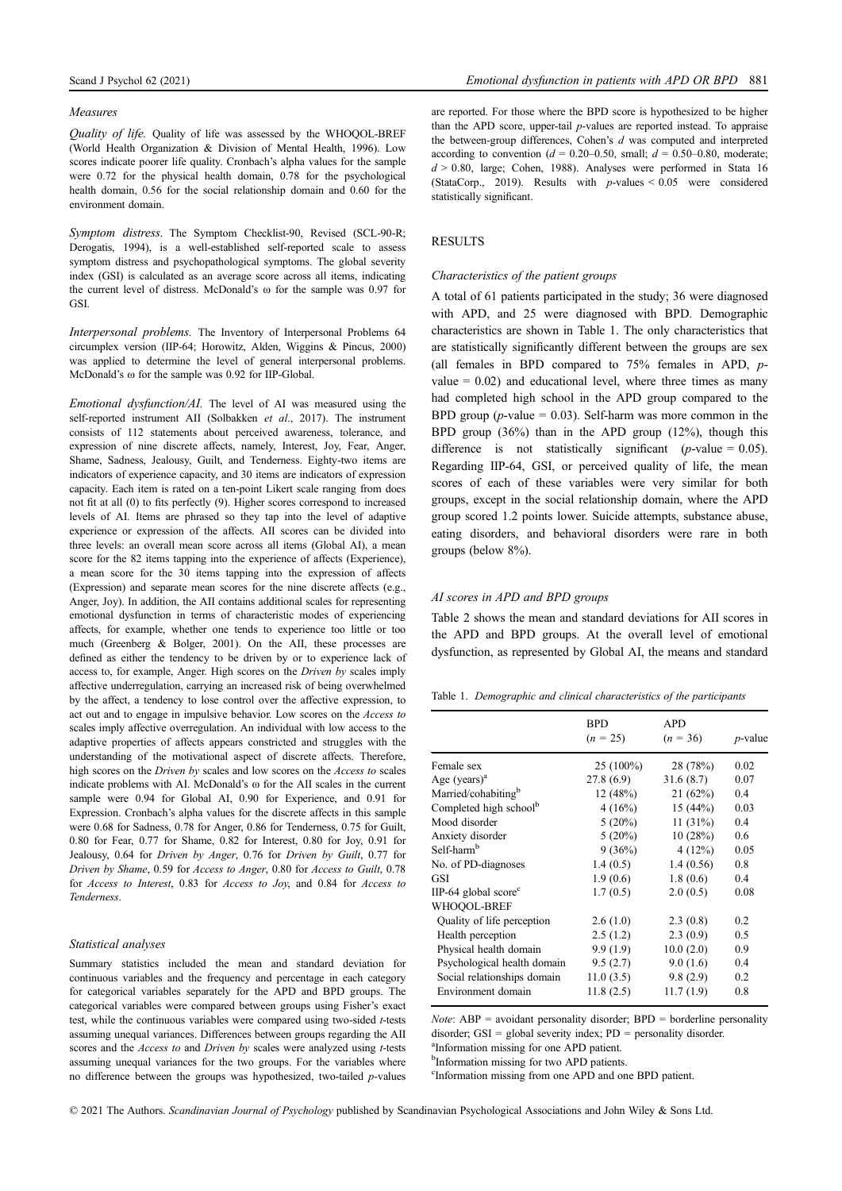#### Measures

Quality of life. Quality of life was assessed by the WHOQOL-BREF (World Health Organization & Division of Mental Health, 1996). Low scores indicate poorer life quality. Cronbach's alpha values for the sample were 0.72 for the physical health domain, 0.78 for the psychological health domain, 0.56 for the social relationship domain and 0.60 for the environment domain.

Symptom distress. The Symptom Checklist-90, Revised (SCL-90-R; Derogatis, 1994), is a well-established self-reported scale to assess symptom distress and psychopathological symptoms. The global severity index (GSI) is calculated as an average score across all items, indicating the current level of distress. McDonald's  $\omega$  for the sample was 0.97 for GSI.

Interpersonal problems. The Inventory of Interpersonal Problems 64 circumplex version (IIP-64; Horowitz, Alden, Wiggins & Pincus, 2000) was applied to determine the level of general interpersonal problems. McDonald's  $\omega$  for the sample was 0.92 for IIP-Global.

Emotional dysfunction/AI. The level of AI was measured using the self-reported instrument AII (Solbakken et al., 2017). The instrument consists of 112 statements about perceived awareness, tolerance, and expression of nine discrete affects, namely, Interest, Joy, Fear, Anger, Shame, Sadness, Jealousy, Guilt, and Tenderness. Eighty-two items are indicators of experience capacity, and 30 items are indicators of expression capacity. Each item is rated on a ten-point Likert scale ranging from does not fit at all (0) to fits perfectly (9). Higher scores correspond to increased levels of AI. Items are phrased so they tap into the level of adaptive experience or expression of the affects. AII scores can be divided into three levels: an overall mean score across all items (Global AI), a mean score for the 82 items tapping into the experience of affects (Experience), a mean score for the 30 items tapping into the expression of affects (Expression) and separate mean scores for the nine discrete affects (e.g., Anger, Joy). In addition, the AII contains additional scales for representing emotional dysfunction in terms of characteristic modes of experiencing affects, for example, whether one tends to experience too little or too much (Greenberg & Bolger, 2001). On the AII, these processes are defined as either the tendency to be driven by or to experience lack of access to, for example, Anger. High scores on the Driven by scales imply affective underregulation, carrying an increased risk of being overwhelmed by the affect, a tendency to lose control over the affective expression, to act out and to engage in impulsive behavior. Low scores on the Access to scales imply affective overregulation. An individual with low access to the adaptive properties of affects appears constricted and struggles with the understanding of the motivational aspect of discrete affects. Therefore, high scores on the Driven by scales and low scores on the Access to scales indicate problems with AI. McDonald's  $\omega$  for the AII scales in the current sample were 0.94 for Global AI, 0.90 for Experience, and 0.91 for Expression. Cronbach's alpha values for the discrete affects in this sample were 0.68 for Sadness, 0.78 for Anger, 0.86 for Tenderness, 0.75 for Guilt, 0.80 for Fear, 0.77 for Shame, 0.82 for Interest, 0.80 for Joy, 0.91 for Jealousy, 0.64 for Driven by Anger, 0.76 for Driven by Guilt, 0.77 for Driven by Shame, 0.59 for Access to Anger, 0.80 for Access to Guilt, 0.78 for Access to Interest, 0.83 for Access to Joy, and 0.84 for Access to Tenderness.

## Statistical analyses

Summary statistics included the mean and standard deviation for continuous variables and the frequency and percentage in each category for categorical variables separately for the APD and BPD groups. The categorical variables were compared between groups using Fisher's exact test, while the continuous variables were compared using two-sided t-tests assuming unequal variances. Differences between groups regarding the AII scores and the *Access to* and *Driven by* scales were analyzed using *t*-tests assuming unequal variances for the two groups. For the variables where no difference between the groups was hypothesized, two-tailed  $p$ -values are reported. For those where the BPD score is hypothesized to be higher than the APD score, upper-tail p-values are reported instead. To appraise the between-group differences, Cohen's  $d$  was computed and interpreted according to convention ( $d = 0.20-0.50$ , small;  $d = 0.50-0.80$ , moderate;  $d > 0.80$ , large; Cohen, 1988). Analyses were performed in Stata 16 (StataCorp., 2019). Results with  $p$ -values  $< 0.05$  were considered statistically significant.

## **RESULTS**

#### Characteristics of the patient groups

A total of 61 patients participated in the study; 36 were diagnosed with APD, and 25 were diagnosed with BPD. Demographic characteristics are shown in Table 1. The only characteristics that are statistically significantly different between the groups are sex (all females in BPD compared to 75% females in APD, pvalue  $= 0.02$ ) and educational level, where three times as many had completed high school in the APD group compared to the BPD group ( $p$ -value = 0.03). Self-harm was more common in the BPD group (36%) than in the APD group (12%), though this difference is not statistically significant (*p*-value =  $0.05$ ). Regarding IIP-64, GSI, or perceived quality of life, the mean scores of each of these variables were very similar for both groups, except in the social relationship domain, where the APD group scored 1.2 points lower. Suicide attempts, substance abuse, eating disorders, and behavioral disorders were rare in both groups (below 8%).

## AI scores in APD and BPD groups

Table 2 shows the mean and standard deviations for AII scores in the APD and BPD groups. At the overall level of emotional dysfunction, as represented by Global AI, the means and standard

|  |  |  | Table 1. Demographic and clinical characteristics of the participants |  |  |
|--|--|--|-----------------------------------------------------------------------|--|--|
|--|--|--|-----------------------------------------------------------------------|--|--|

|                                    | BPD<br>$(n = 25)$ | APD<br>$(n = 36)$ | $p$ -value |
|------------------------------------|-------------------|-------------------|------------|
| Female sex                         | $25(100\%)$       | 28 (78%)          | 0.02       |
| Age $(vears)^a$                    | 27.8(6.9)         | 31.6(8.7)         | 0.07       |
| Married/cohabiting <sup>b</sup>    | 12(48%)           | 21(62%)           | 0.4        |
| Completed high school <sup>b</sup> | 4(16%)            | 15 $(44%)$        | 0.03       |
| Mood disorder                      | $5(20\%)$         | 11 $(31%)$        | 0.4        |
| Anxiety disorder                   | $5(20\%)$         | 10(28%)           | 0.6        |
| Self-harm <sup>b</sup>             | 9(36%)            | 4(12%)            | 0.05       |
| No. of PD-diagnoses                | 1.4(0.5)          | 1.4(0.56)         | 0.8        |
| GSI                                | 1.9(0.6)          | 1.8(0.6)          | 0.4        |
| IIP-64 global score $\rm{^c}$      | 1.7(0.5)          | 2.0(0.5)          | 0.08       |
| WHOOOL-BREF                        |                   |                   |            |
| Quality of life perception         | 2.6(1.0)          | 2.3(0.8)          | 0.2        |
| Health perception                  | 2.5(1.2)          | 2.3(0.9)          | 0.5        |
| Physical health domain             | 9.9(1.9)          | 10.0(2.0)         | 0.9        |
| Psychological health domain        | 9.5(2.7)          | 9.0(1.6)          | 0.4        |
| Social relationships domain        | 11.0(3.5)         | 9.8(2.9)          | 0.2        |
| Environment domain                 | 11.8(2.5)         | 11.7(1.9)         | 0.8        |

*Note*:  $ABP =$  avoidant personality disorder;  $BPD =$  borderline personality disorder; GSI = global severity index;  $PD$  = personality disorder.

<sup>a</sup>Information missing for one APD patient.

<sup>b</sup>Information missing for two APD patients.

c Information missing from one APD and one BPD patient.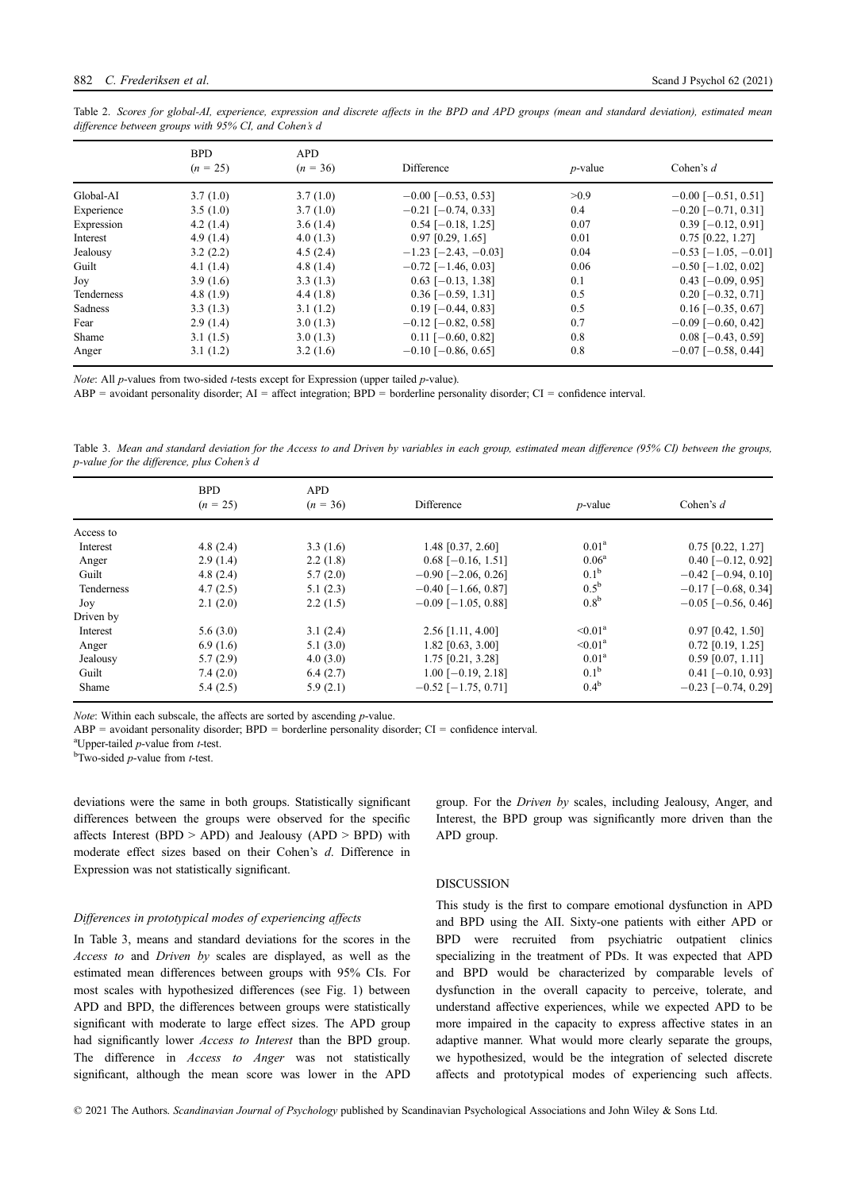| Table 2. Scores for global-AI, experience, expression and discrete affects in the BPD and APD groups (mean and standard deviation), estimated mean |  |  |  |  |  |  |  |
|----------------------------------------------------------------------------------------------------------------------------------------------------|--|--|--|--|--|--|--|
| difference between groups with 95% CI, and Cohen's d                                                                                               |  |  |  |  |  |  |  |

|            | <b>BPD</b> | <b>APD</b>  |                               |            |                            |
|------------|------------|-------------|-------------------------------|------------|----------------------------|
|            | $(n = 25)$ | $(n = 36)$  | Difference                    | $p$ -value | Cohen's $d$                |
| Global-AI  | 3.7(1.0)   | 3.7(1.0)    | $-0.00$ [ $-0.53$ , 0.53]     | >0.9       | $-0.00$ [ $-0.51$ , 0.51]  |
| Experience | 3.5(1.0)   | 3.7(1.0)    | $-0.21$ [ $-0.74$ , 0.33]     | 0.4        | $-0.20$ [ $-0.71$ , 0.31]  |
| Expression | 4.2(1.4)   | 3.6(1.4)    | $0.54$ [-0.18, 1.25]          | 0.07       | $0.39$ [-0.12, 0.91]       |
| Interest   | 4.9(1.4)   | 4.0(1.3)    | $0.97$ [0.29, 1.65]           | 0.01       | $0.75$ [0.22, 1.27]        |
| Jealousy   | 3.2(2.2)   | 4.5(2.4)    | $-1.23$ [ $-2.43$ , $-0.03$ ] | 0.04       | $-0.53$ [ $-1.05, -0.01$ ] |
| Guilt      | 4.1(1.4)   | 4.8 $(1.4)$ | $-0.72$ [ $-1.46$ , 0.03]     | 0.06       | $-0.50$ [ $-1.02$ , 0.02]  |
| Joy        | 3.9(1.6)   | 3.3(1.3)    | $0.63$ [-0.13, 1.38]          | 0.1        | $0.43$ [-0.09, 0.95]       |
| Tenderness | 4.8(1.9)   | 4.4(1.8)    | $0.36$ [-0.59, 1.31]          | 0.5        | $0.20$ [-0.32, 0.71]       |
| Sadness    | 3.3(1.3)   | 3.1(1.2)    | $0.19$ [-0.44, 0.83]          | 0.5        | $0.16$ [-0.35, 0.67]       |
| Fear       | 2.9(1.4)   | 3.0(1.3)    | $-0.12$ [ $-0.82$ , 0.58]     | 0.7        | $-0.09$ [ $-0.60$ , 0.42]  |
| Shame      | 3.1(1.5)   | 3.0(1.3)    | $0.11$ [-0.60, 0.82]          | 0.8        | $0.08$ [-0.43, 0.59]       |
| Anger      | 3.1(1.2)   | 3.2(1.6)    | $-0.10$ [ $-0.86$ , 0.65]     | 0.8        | $-0.07$ [ $-0.58$ , 0.44]  |

Note: All p-values from two-sided t-tests except for Expression (upper tailed p-value).

 $ABP =$  avoidant personality disorder;  $AI =$  affect integration;  $BPD =$  borderline personality disorder;  $CI =$  confidence interval.

Table 3. Mean and standard deviation for the Access to and Driven by variables in each group, estimated mean difference (95% CI) between the groups, p-value for the difference, plus Cohen's d

|            | <b>BPD</b><br><b>APD</b> |            |                           |                   |                           |  |
|------------|--------------------------|------------|---------------------------|-------------------|---------------------------|--|
|            | $(n = 25)$               | $(n = 36)$ | Difference                | $p$ -value        | Cohen's $d$               |  |
| Access to  |                          |            |                           |                   |                           |  |
| Interest   | 4.8(2.4)                 | 3.3(1.6)   | 1.48 [0.37, 2.60]         | 0.01 <sup>a</sup> | $0.75$ [0.22, 1.27]       |  |
| Anger      | 2.9(1.4)                 | 2.2(1.8)   | $0.68$ [-0.16, 1.51]      | $0.06^{\rm a}$    | $0.40$ [-0.12, 0.92]      |  |
| Guilt      | 4.8(2.4)                 | 5.7(2.0)   | $-0.90$ [ $-2.06$ , 0.26] | 0.1 <sup>b</sup>  | $-0.42$ [ $-0.94$ , 0.10] |  |
| Tenderness | 4.7(2.5)                 | 5.1(2.3)   | $-0.40$ [ $-1.66$ , 0.87] | $0.5^{\rm b}$     | $-0.17$ [ $-0.68$ , 0.34] |  |
| Joy        | 2.1(2.0)                 | 2.2(1.5)   | $-0.09$ [ $-1.05$ , 0.88] | 0.8 <sup>b</sup>  | $-0.05$ [ $-0.56$ , 0.46] |  |
| Driven by  |                          |            |                           |                   |                           |  |
| Interest   | 5.6(3.0)                 | 3.1(2.4)   | $2.56$ [1.11, 4.00]       | $\leq 0.01^a$     | $0.97$ [0.42, 1.50]       |  |
| Anger      | 6.9(1.6)                 | 5.1(3.0)   | $1.82$ [0.63, 3.00]       | $\leq 0.01^a$     | $0.72$ [0.19, 1.25]       |  |
| Jealousy   | 5.7(2.9)                 | 4.0(3.0)   | 1.75 [0.21, 3.28]         | 0.01 <sup>a</sup> | $0.59$ [0.07, 1.11]       |  |
| Guilt      | 7.4(2.0)                 | 6.4(2.7)   | $1.00$ [-0.19, 2.18]      | $0.1^{\rm b}$     | $0.41$ [-0.10, 0.93]      |  |
| Shame      | 5.4(2.5)                 | 5.9(2.1)   | $-0.52$ [ $-1.75$ , 0.71] | 0.4 <sup>b</sup>  | $-0.23$ [ $-0.74$ , 0.29] |  |

Note: Within each subscale, the affects are sorted by ascending *p*-value.

 $ABP =$  avoidant personality disorder;  $BPD =$  borderline personality disorder;  $CI =$  confidence interval.

 $\alpha$ <sup>a</sup>Upper-tailed *p*-value from *t*-test.

 $<sup>b</sup>$ Two-sided *p*-value from *t*-test.</sup>

deviations were the same in both groups. Statistically significant differences between the groups were observed for the specific affects Interest (BPD  $>$  APD) and Jealousy (APD  $>$  BPD) with moderate effect sizes based on their Cohen's d. Difference in Expression was not statistically significant.

## Differences in prototypical modes of experiencing affects

In Table 3, means and standard deviations for the scores in the Access to and Driven by scales are displayed, as well as the estimated mean differences between groups with 95% CIs. For most scales with hypothesized differences (see Fig. 1) between APD and BPD, the differences between groups were statistically significant with moderate to large effect sizes. The APD group had significantly lower Access to Interest than the BPD group. The difference in Access to Anger was not statistically significant, although the mean score was lower in the APD group. For the Driven by scales, including Jealousy, Anger, and Interest, the BPD group was significantly more driven than the APD group.

#### DISCUSSION

This study is the first to compare emotional dysfunction in APD and BPD using the AII. Sixty-one patients with either APD or BPD were recruited from psychiatric outpatient clinics specializing in the treatment of PDs. It was expected that APD and BPD would be characterized by comparable levels of dysfunction in the overall capacity to perceive, tolerate, and understand affective experiences, while we expected APD to be more impaired in the capacity to express affective states in an adaptive manner. What would more clearly separate the groups, we hypothesized, would be the integration of selected discrete affects and prototypical modes of experiencing such affects.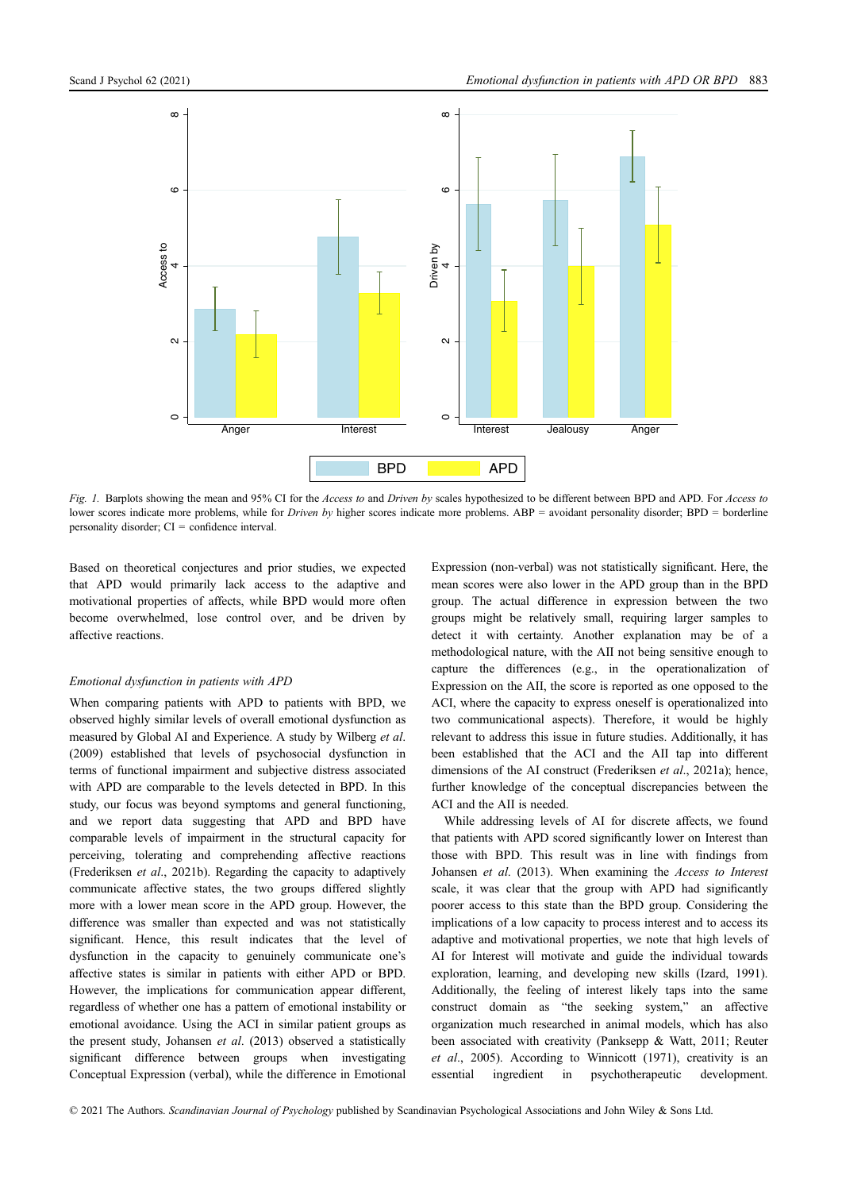

Fig. 1. Barplots showing the mean and 95% CI for the Access to and Driven by scales hypothesized to be different between BPD and APD. For Access to lower scores indicate more problems, while for *Driven by* higher scores indicate more problems. ABP = avoidant personality disorder; BPD = borderline personality disorder; CI = confidence interval.

Based on theoretical conjectures and prior studies, we expected that APD would primarily lack access to the adaptive and motivational properties of affects, while BPD would more often become overwhelmed, lose control over, and be driven by affective reactions.

#### Emotional dysfunction in patients with APD

When comparing patients with APD to patients with BPD, we observed highly similar levels of overall emotional dysfunction as measured by Global AI and Experience. A study by Wilberg et al. (2009) established that levels of psychosocial dysfunction in terms of functional impairment and subjective distress associated with APD are comparable to the levels detected in BPD. In this study, our focus was beyond symptoms and general functioning, and we report data suggesting that APD and BPD have comparable levels of impairment in the structural capacity for perceiving, tolerating and comprehending affective reactions (Frederiksen et al., 2021b). Regarding the capacity to adaptively communicate affective states, the two groups differed slightly more with a lower mean score in the APD group. However, the difference was smaller than expected and was not statistically significant. Hence, this result indicates that the level of dysfunction in the capacity to genuinely communicate one's affective states is similar in patients with either APD or BPD. However, the implications for communication appear different, regardless of whether one has a pattern of emotional instability or emotional avoidance. Using the ACI in similar patient groups as the present study, Johansen et al. (2013) observed a statistically significant difference between groups when investigating Conceptual Expression (verbal), while the difference in Emotional

Expression (non-verbal) was not statistically significant. Here, the mean scores were also lower in the APD group than in the BPD group. The actual difference in expression between the two groups might be relatively small, requiring larger samples to detect it with certainty. Another explanation may be of a methodological nature, with the AII not being sensitive enough to capture the differences (e.g., in the operationalization of Expression on the AII, the score is reported as one opposed to the ACI, where the capacity to express oneself is operationalized into two communicational aspects). Therefore, it would be highly relevant to address this issue in future studies. Additionally, it has been established that the ACI and the AII tap into different dimensions of the AI construct (Frederiksen *et al.*, 2021a); hence, further knowledge of the conceptual discrepancies between the ACI and the AII is needed.

While addressing levels of AI for discrete affects, we found that patients with APD scored significantly lower on Interest than those with BPD. This result was in line with findings from Johansen et al. (2013). When examining the Access to Interest scale, it was clear that the group with APD had significantly poorer access to this state than the BPD group. Considering the implications of a low capacity to process interest and to access its adaptive and motivational properties, we note that high levels of AI for Interest will motivate and guide the individual towards exploration, learning, and developing new skills (Izard, 1991). Additionally, the feeling of interest likely taps into the same construct domain as "the seeking system," an affective organization much researched in animal models, which has also been associated with creativity (Panksepp & Watt, 2011; Reuter et al., 2005). According to Winnicott (1971), creativity is an essential ingredient in psychotherapeutic development.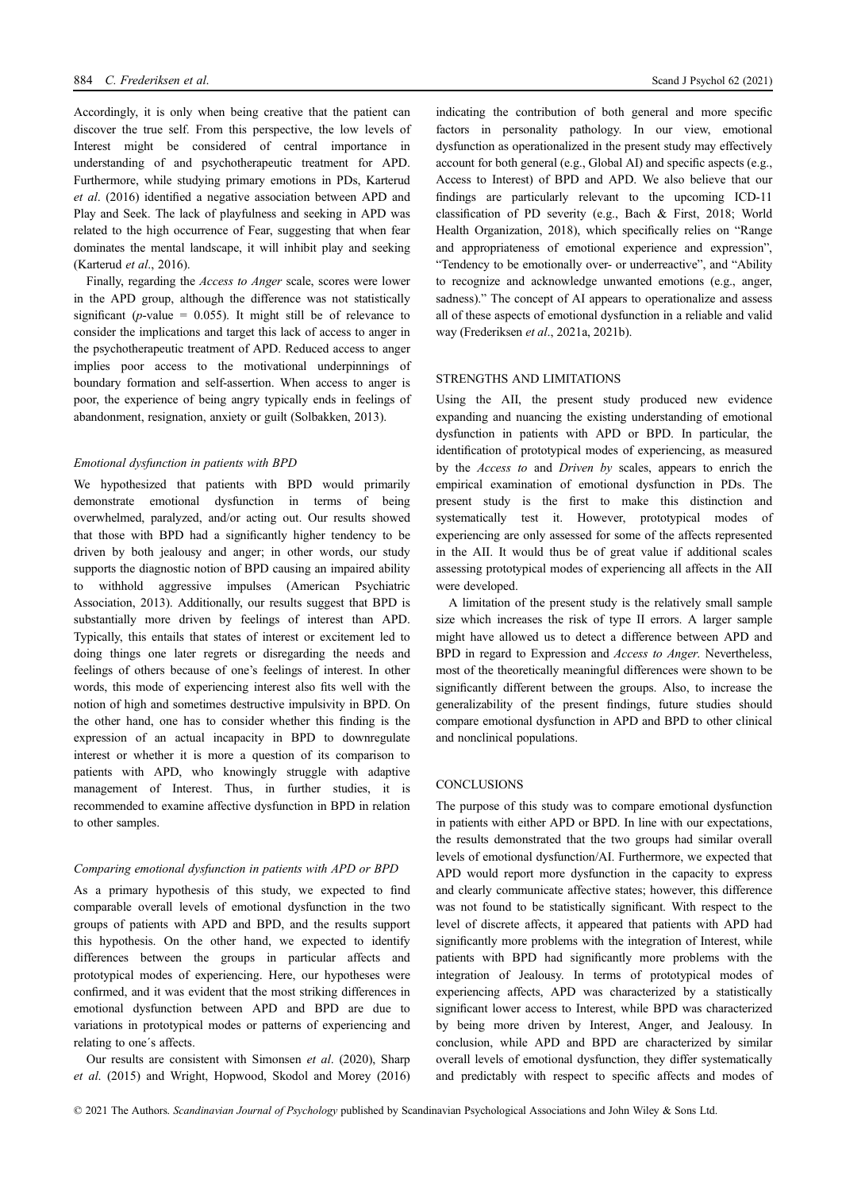Accordingly, it is only when being creative that the patient can discover the true self. From this perspective, the low levels of Interest might be considered of central importance in understanding of and psychotherapeutic treatment for APD. Furthermore, while studying primary emotions in PDs, Karterud et al. (2016) identified a negative association between APD and Play and Seek. The lack of playfulness and seeking in APD was related to the high occurrence of Fear, suggesting that when fear dominates the mental landscape, it will inhibit play and seeking (Karterud et al., 2016).

Finally, regarding the Access to Anger scale, scores were lower in the APD group, although the difference was not statistically significant ( $p$ -value = 0.055). It might still be of relevance to consider the implications and target this lack of access to anger in the psychotherapeutic treatment of APD. Reduced access to anger implies poor access to the motivational underpinnings of boundary formation and self-assertion. When access to anger is poor, the experience of being angry typically ends in feelings of abandonment, resignation, anxiety or guilt (Solbakken, 2013).

## Emotional dysfunction in patients with BPD

We hypothesized that patients with BPD would primarily demonstrate emotional dysfunction in terms of being overwhelmed, paralyzed, and/or acting out. Our results showed that those with BPD had a significantly higher tendency to be driven by both jealousy and anger; in other words, our study supports the diagnostic notion of BPD causing an impaired ability to withhold aggressive impulses (American Psychiatric Association, 2013). Additionally, our results suggest that BPD is substantially more driven by feelings of interest than APD. Typically, this entails that states of interest or excitement led to doing things one later regrets or disregarding the needs and feelings of others because of one's feelings of interest. In other words, this mode of experiencing interest also fits well with the notion of high and sometimes destructive impulsivity in BPD. On the other hand, one has to consider whether this finding is the expression of an actual incapacity in BPD to downregulate interest or whether it is more a question of its comparison to patients with APD, who knowingly struggle with adaptive management of Interest. Thus, in further studies, it is recommended to examine affective dysfunction in BPD in relation to other samples.

## Comparing emotional dysfunction in patients with APD or BPD

As a primary hypothesis of this study, we expected to find comparable overall levels of emotional dysfunction in the two groups of patients with APD and BPD, and the results support this hypothesis. On the other hand, we expected to identify differences between the groups in particular affects and prototypical modes of experiencing. Here, our hypotheses were confirmed, and it was evident that the most striking differences in emotional dysfunction between APD and BPD are due to variations in prototypical modes or patterns of experiencing and relating to one´s affects.

Our results are consistent with Simonsen et al. (2020), Sharp et al. (2015) and Wright, Hopwood, Skodol and Morey (2016) indicating the contribution of both general and more specific factors in personality pathology. In our view, emotional dysfunction as operationalized in the present study may effectively account for both general (e.g., Global AI) and specific aspects (e.g., Access to Interest) of BPD and APD. We also believe that our findings are particularly relevant to the upcoming ICD-11 classification of PD severity (e.g., Bach & First, 2018; World Health Organization, 2018), which specifically relies on "Range and appropriateness of emotional experience and expression", "Tendency to be emotionally over- or underreactive", and "Ability to recognize and acknowledge unwanted emotions (e.g., anger, sadness)." The concept of AI appears to operationalize and assess all of these aspects of emotional dysfunction in a reliable and valid way (Frederiksen et al., 2021a, 2021b).

## STRENGTHS AND LIMITATIONS

Using the AII, the present study produced new evidence expanding and nuancing the existing understanding of emotional dysfunction in patients with APD or BPD. In particular, the identification of prototypical modes of experiencing, as measured by the Access to and Driven by scales, appears to enrich the empirical examination of emotional dysfunction in PDs. The present study is the first to make this distinction and systematically test it. However, prototypical modes of experiencing are only assessed for some of the affects represented in the AII. It would thus be of great value if additional scales assessing prototypical modes of experiencing all affects in the AII were developed.

A limitation of the present study is the relatively small sample size which increases the risk of type II errors. A larger sample might have allowed us to detect a difference between APD and BPD in regard to Expression and Access to Anger. Nevertheless, most of the theoretically meaningful differences were shown to be significantly different between the groups. Also, to increase the generalizability of the present findings, future studies should compare emotional dysfunction in APD and BPD to other clinical and nonclinical populations.

## **CONCLUSIONS**

The purpose of this study was to compare emotional dysfunction in patients with either APD or BPD. In line with our expectations, the results demonstrated that the two groups had similar overall levels of emotional dysfunction/AI. Furthermore, we expected that APD would report more dysfunction in the capacity to express and clearly communicate affective states; however, this difference was not found to be statistically significant. With respect to the level of discrete affects, it appeared that patients with APD had significantly more problems with the integration of Interest, while patients with BPD had significantly more problems with the integration of Jealousy. In terms of prototypical modes of experiencing affects, APD was characterized by a statistically significant lower access to Interest, while BPD was characterized by being more driven by Interest, Anger, and Jealousy. In conclusion, while APD and BPD are characterized by similar overall levels of emotional dysfunction, they differ systematically and predictably with respect to specific affects and modes of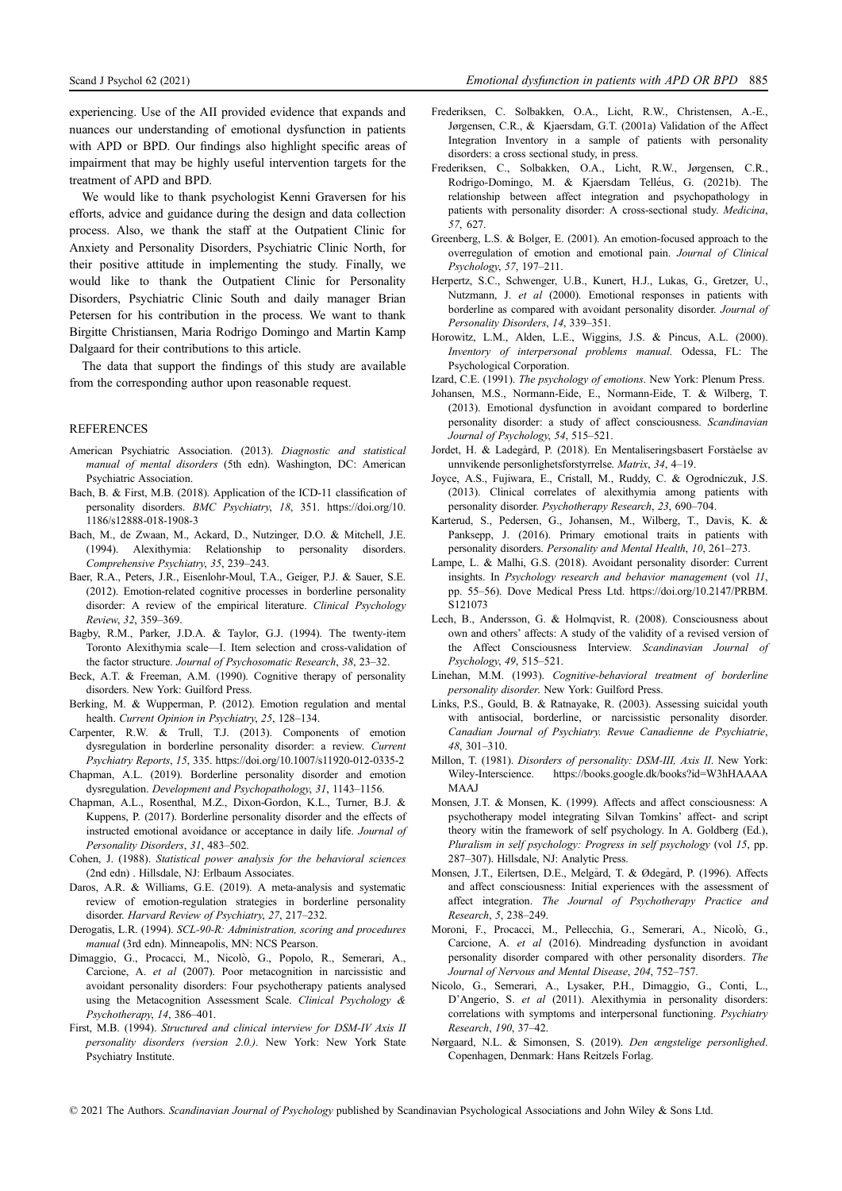experiencing. Use of the AII provided evidence that expands and nuances our understanding of emotional dysfunction in patients with APD or BPD. Our findings also highlight specific areas of impairment that may be highly useful intervention targets for the treatment of APD and BPD.

We would like to thank psychologist Kenni Graversen for his efforts, advice and guidance during the design and data collection process. Also, we thank the staff at the Outpatient Clinic for Anxiety and Personality Disorders, Psychiatric Clinic North, for their positive attitude in implementing the study. Finally, we would like to thank the Outpatient Clinic for Personality Disorders, Psychiatric Clinic South and daily manager Brian Petersen for his contribution in the process. We want to thank Birgitte Christiansen, Maria Rodrigo Domingo and Martin Kamp Dalgaard for their contributions to this article.

The data that support the findings of this study are available from the corresponding author upon reasonable request.

## **REFERENCES**

- American Psychiatric Association. (2013). Diagnostic and statistical manual of mental disorders (5th edn). Washington, DC: American Psychiatric Association.
- Bach, B. & First, M.B. (2018). Application of the ICD-11 classification of personality disorders. BMC Psychiatry, 18, 351. [https://doi.org/10.](https://doi.org/10.1186/s12888-018-1908-3) [1186/s12888-018-1908-3](https://doi.org/10.1186/s12888-018-1908-3)
- Bach, M., de Zwaan, M., Ackard, D., Nutzinger, D.O. & Mitchell, J.E. (1994). Alexithymia: Relationship to personality disorders. Comprehensive Psychiatry, 35, 239–243.
- Baer, R.A., Peters, J.R., Eisenlohr-Moul, T.A., Geiger, P.J. & Sauer, S.E. (2012). Emotion-related cognitive processes in borderline personality disorder: A review of the empirical literature. Clinical Psychology Review, 32, 359–369.
- Bagby, R.M., Parker, J.D.A. & Taylor, G.J. (1994). The twenty-item Toronto Alexithymia scale—I. Item selection and cross-validation of the factor structure. Journal of Psychosomatic Research, 38, 23–32.
- Beck, A.T. & Freeman, A.M. (1990). Cognitive therapy of personality disorders. New York: Guilford Press.
- Berking, M. & Wupperman, P. (2012). Emotion regulation and mental health. Current Opinion in Psychiatry, 25, 128–134.
- Carpenter, R.W. & Trull, T.J. (2013). Components of emotion dysregulation in borderline personality disorder: a review. Current Psychiatry Reports, 15, 335.<https://doi.org/10.1007/s11920-012-0335-2>
- Chapman, A.L. (2019). Borderline personality disorder and emotion dysregulation. Development and Psychopathology, 31, 1143–1156.
- Chapman, A.L., Rosenthal, M.Z., Dixon-Gordon, K.L., Turner, B.J. & Kuppens, P. (2017). Borderline personality disorder and the effects of instructed emotional avoidance or acceptance in daily life. Journal of Personality Disorders, 31, 483–502.
- Cohen, J. (1988). Statistical power analysis for the behavioral sciences (2nd edn) . Hillsdale, NJ: Erlbaum Associates.
- Daros, A.R. & Williams, G.E. (2019). A meta-analysis and systematic review of emotion-regulation strategies in borderline personality disorder. Harvard Review of Psychiatry, 27, 217–232.
- Derogatis, L.R. (1994). SCL-90-R: Administration, scoring and procedures manual (3rd edn). Minneapolis, MN: NCS Pearson.
- Dimaggio, G., Procacci, M., Nicolo, G., Popolo, R., Semerari, A., Carcione, A. et al (2007). Poor metacognition in narcissistic and avoidant personality disorders: Four psychotherapy patients analysed using the Metacognition Assessment Scale. Clinical Psychology & Psychotherapy, 14, 386–401.
- First, M.B. (1994). Structured and clinical interview for DSM-IV Axis II personality disorders (version 2.0.). New York: New York State Psychiatry Institute.
- Frederiksen, C. Solbakken, O.A., Licht, R.W., Christensen, A.-E., Jørgensen, C.R., & Kjaersdam, G.T. (2001a) Validation of the Affect Integration Inventory in a sample of patients with personality disorders: a cross sectional study, in press.
- Frederiksen, C., Solbakken, O.A., Licht, R.W., Jørgensen, C.R., Rodrigo-Domingo, M. & Kjaersdam Telleus, G. (2021b). The relationship between affect integration and psychopathology in patients with personality disorder: A cross-sectional study. Medicina, 57, 627.
- Greenberg, L.S. & Bolger, E. (2001). An emotion-focused approach to the overregulation of emotion and emotional pain. Journal of Clinical Psychology, 57, 197–211.
- Herpertz, S.C., Schwenger, U.B., Kunert, H.J., Lukas, G., Gretzer, U., Nutzmann, J. et al (2000). Emotional responses in patients with borderline as compared with avoidant personality disorder. Journal of Personality Disorders, 14, 339–351.
- Horowitz, L.M., Alden, L.E., Wiggins, J.S. & Pincus, A.L. (2000). Inventory of interpersonal problems manual. Odessa, FL: The Psychological Corporation.
- Izard, C.E. (1991). The psychology of emotions. New York: Plenum Press.
- Johansen, M.S., Normann-Eide, E., Normann-Eide, T. & Wilberg, T. (2013). Emotional dysfunction in avoidant compared to borderline personality disorder: a study of affect consciousness. Scandinavian Journal of Psychology, 54, 515–521.
- Jordet, H. & Ladegård, P. (2018). En Mentaliseringsbasert Forståelse av unnvikende personlighetsforstyrrelse. Matrix, 34, 4–19.
- Joyce, A.S., Fujiwara, E., Cristall, M., Ruddy, C. & Ogrodniczuk, J.S. (2013). Clinical correlates of alexithymia among patients with personality disorder. Psychotherapy Research, 23, 690–704.
- Karterud, S., Pedersen, G., Johansen, M., Wilberg, T., Davis, K. & Panksepp, J. (2016). Primary emotional traits in patients with personality disorders. Personality and Mental Health, 10, 261–273.
- Lampe, L. & Malhi, G.S. (2018). Avoidant personality disorder: Current insights. In Psychology research and behavior management (vol 11, pp. 55–56). Dove Medical Press Ltd. [https://doi.org/10.2147/PRBM.](https://doi.org/10.2147/PRBM.S121073) [S121073](https://doi.org/10.2147/PRBM.S121073)
- Lech, B., Andersson, G. & Holmqvist, R. (2008). Consciousness about own and others' affects: A study of the validity of a revised version of the Affect Consciousness Interview. Scandinavian Journal of Psychology, 49, 515–521.
- Linehan, M.M. (1993). Cognitive-behavioral treatment of borderline personality disorder. New York: Guilford Press.
- Links, P.S., Gould, B. & Ratnayake, R. (2003). Assessing suicidal youth with antisocial, borderline, or narcissistic personality disorder. Canadian Journal of Psychiatry. Revue Canadienne de Psychiatrie, 48, 301–310.
- Millon, T. (1981). Disorders of personality: DSM-III, Axis II. New York: Wiley-Interscience. [https://books.google.dk/books?id=W3hHAAAA](https://books.google.dk/books?id=W3hHAAAAMAAJ) [MAAJ](https://books.google.dk/books?id=W3hHAAAAMAAJ)
- Monsen, J.T. & Monsen, K. (1999). Affects and affect consciousness: A psychotherapy model integrating Silvan Tomkins' affect- and script theory witin the framework of self psychology. In A. Goldberg (Ed.), Pluralism in self psychology: Progress in self psychology (vol 15, pp. 287–307). Hillsdale, NJ: Analytic Press.
- Monsen, J.T., Eilertsen, D.E., Melgård, T. & Ødegård, P. (1996). Affects and affect consciousness: Initial experiences with the assessment of affect integration. The Journal of Psychotherapy Practice and Research, 5, 238–249.
- Moroni, F., Procacci, M., Pellecchia, G., Semerari, A., Nicolo, G., Carcione, A. et al (2016). Mindreading dysfunction in avoidant personality disorder compared with other personality disorders. The Journal of Nervous and Mental Disease, 204, 752–757.
- Nicolo, G., Semerari, A., Lysaker, P.H., Dimaggio, G., Conti, L., D'Angerio, S. et al (2011). Alexithymia in personality disorders: correlations with symptoms and interpersonal functioning. Psychiatry Research, 190, 37–42.
- Nørgaard, N.L. & Simonsen, S. (2019). Den ængstelige personlighed. Copenhagen, Denmark: Hans Reitzels Forlag.